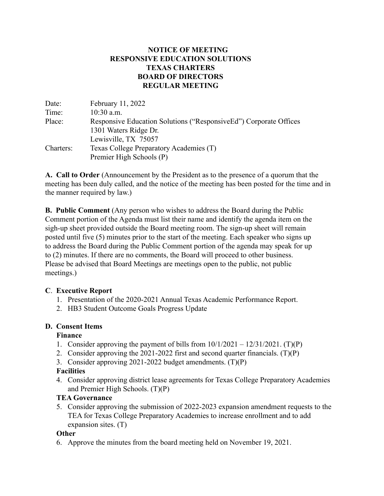# **NOTICE OF MEETING RESPONSIVE EDUCATION SOLUTIONS TEXAS CHARTERS BOARD OF DIRECTORS REGULAR MEETING**

| Date:     | February 11, 2022                                                  |
|-----------|--------------------------------------------------------------------|
| Time:     | $10:30$ a.m.                                                       |
| Place:    | Responsive Education Solutions ("Responsive Ed") Corporate Offices |
|           | 1301 Waters Ridge Dr.                                              |
|           | Lewisville, TX 75057                                               |
| Charters: | Texas College Preparatory Academies (T)                            |
|           | Premier High Schools (P)                                           |

**A. Call to Order** (Announcement by the President as to the presence of a quorum that the meeting has been duly called, and the notice of the meeting has been posted for the time and in the manner required by law.)

**B. Public Comment** (Any person who wishes to address the Board during the Public Comment portion of the Agenda must list their name and identify the agenda item on the sigh-up sheet provided outside the Board meeting room. The sign-up sheet will remain posted until five (5) minutes prior to the start of the meeting. Each speaker who signs up to address the Board during the Public Comment portion of the agenda may speak for up to (2) minutes. If there are no comments, the Board will proceed to other business. Please be advised that Board Meetings are meetings open to the public, not public meetings.)

# **C**. **Executive Report**

- 1. Presentation of the 2020-2021 Annual Texas Academic Performance Report.
- 2. HB3 Student Outcome Goals Progress Update

# **D. Consent Items**

# **Finance**

- 1. Consider approving the payment of bills from  $10/1/2021 12/31/2021$ . (T)(P)
- 2. Consider approving the 2021-2022 first and second quarter financials. (T)(P)
- 3. Consider approving 2021-2022 budget amendments. (T)(P)

# **Facilities**

4. Consider approving district lease agreements for Texas College Preparatory Academies and Premier High Schools. (T)(P)

# **TEA Governance**

5. Consider approving the submission of 2022-2023 expansion amendment requests to the TEA for Texas College Preparatory Academies to increase enrollment and to add expansion sites. (T)

# **Other**

6. Approve the minutes from the board meeting held on November 19, 2021.